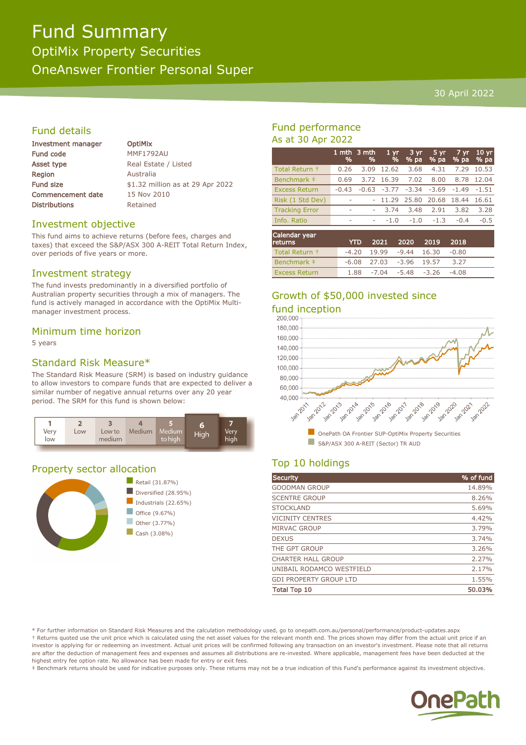# Fund Summary OptiMix Property Securities OneAnswer Frontier Personal Super

#### 30 April 2022

### Fund details

| Investment manager       |
|--------------------------|
| <b>Fund code</b>         |
| <b>Asset type</b>        |
| Region                   |
| <b>Fund size</b>         |
| <b>Commencement date</b> |
| <b>Distributions</b>     |

**OptiMix** MMF1792AU Real Estate / Listed **Australia** \$1.32 million as at 29 Apr 2022 15 Nov 2010 Retained

#### Investment objective

This fund aims to achieve returns (before fees, charges and taxes) that exceed the S&P/ASX 300 A-REIT Total Return Index, over periods of five years or more.

#### Investment strategy

The fund invests predominantly in a diversified portfolio of Australian property securities through a mix of managers. The fund is actively managed in accordance with the OptiMix Multimanager investment process.

#### Minimum time horizon

5 years

#### Standard Risk Measure\*

The Standard Risk Measure (SRM) is based on industry guidance to allow investors to compare funds that are expected to deliver a similar number of negative annual returns over any 20 year period. The SRM for this fund is shown below:



#### Property sector allocation



### Fund performance As at 30 Apr 2022

|                       | %                        | 1 mth 3 mth<br>% | 1 <sub>vr</sub><br>% | 3 yr<br>$%$ pa | 5 yr<br>% pa | $7 \,\mathrm{yr}$<br>% pa | 10 <sub>yr</sub><br>% pa |
|-----------------------|--------------------------|------------------|----------------------|----------------|--------------|---------------------------|--------------------------|
| Total Return +        | 0.26                     | 3.09             | 12.62                | 3.68           | 4.31         | 7.29                      | 10.53                    |
| Benchmark ‡           | 0.69                     | 3.72             | 16.39                | 7.02           | 8.00         | 8.78                      | 12.04                    |
| <b>Excess Return</b>  | $-0.43$                  | $-0.63$          | $-3.77$              | $-3.34$        | $-3.69$      | $-1.49$                   | $-1.51$                  |
| Risk (1 Std Dev)      | ٠                        |                  | 11.29                | 25.80          | 20.68        | 18.44                     | 16.61                    |
| <b>Tracking Error</b> | $\overline{\phantom{a}}$ | ۰                | 3.74                 | 3.48           | 2.91         | 3.82                      | 3.28                     |
| Info. Ratio           | ۰                        | ۰                | $-1.0$               | $-1.0$         | $-1.3$       | $-0.4$                    | $-0.5$                   |
| Calendar year         |                          |                  |                      |                |              |                           |                          |

| <b>returns</b>       |                             | YTD 2021 2020 2019 2018             |      |  |
|----------------------|-----------------------------|-------------------------------------|------|--|
| Total Return +       |                             | $-4.20$ 19.99 $-9.44$ 16.30 $-0.80$ |      |  |
| Benchmark ‡          | $-6.08$ 27.03 $-3.96$ 19.57 |                                     | 3.27 |  |
| <b>Excess Return</b> |                             | $1.88 - 7.04 - 5.48 - 3.26 - 4.08$  |      |  |

# Growth of \$50,000 invested since fund inception<br>200.000



## Top 10 holdings

| Security                      | % of fund |
|-------------------------------|-----------|
| <b>GOODMAN GROUP</b>          | 14.89%    |
| <b>SCENTRE GROUP</b>          | 8.26%     |
| <b>STOCKLAND</b>              | 5.69%     |
| <b>VICINITY CENTRES</b>       | 4.42%     |
| MIRVAC GROUP                  | 3.79%     |
| <b>DEXUS</b>                  | 3.74%     |
| THE GPT GROUP                 | 3.26%     |
| <b>CHARTER HALL GROUP</b>     | 2.27%     |
| UNIBAIL RODAMCO WESTFIELD     | 2.17%     |
| <b>GDI PROPERTY GROUP LTD</b> | 1.55%     |
| <b>Total Top 10</b>           | 50.03%    |

\* For further information on Standard Risk Measures and the calculation methodology used, go to onepath.com.au/personal/performance/product-updates.aspx † Returns quoted use the unit price which is calculated using the net asset values for the relevant month end. The prices shown may differ from the actual unit price if an investor is applying for or redeeming an investment. Actual unit prices will be confirmed following any transaction on an investor's investment. Please note that all returns are after the deduction of management fees and expenses and assumes all distributions are re-invested. Where applicable, management fees have been deducted at the highest entry fee option rate. No allowance has been made for entry or exit fees.

‡ Benchmark returns should be used for indicative purposes only. These returns may not be a true indication of this Fund's performance against its investment objective.